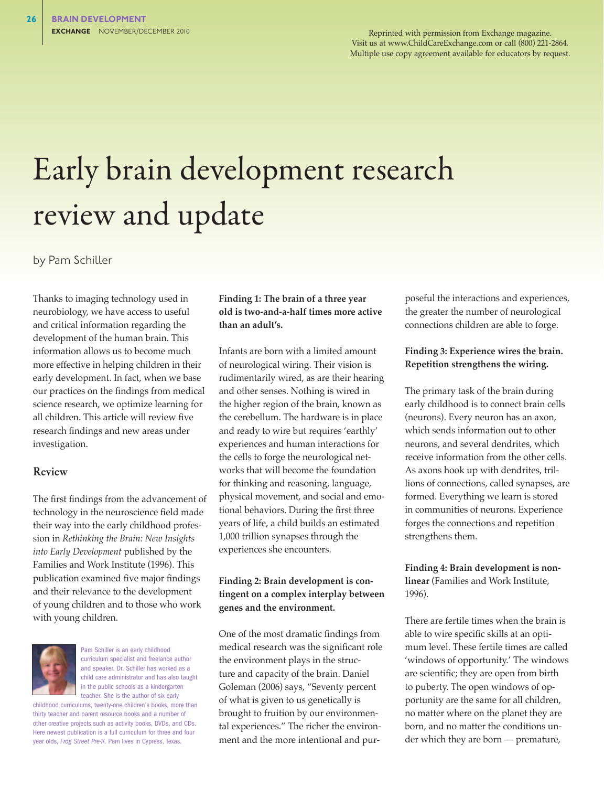Reprinted with permission from Exchange magazine. Visit us at www.ChildCareExchange.com or call (800) 221-2864. Multiple use copy agreement available for educators by request.

# Early brain development research review and update

by Pam Schiller

Thanks to imaging technology used in neurobiology, we have access to useful and critical information regarding the development of the human brain. This information allows us to become much more effective in helping children in their early development. In fact, when we base our practices on the findings from medical science research, we optimize learning for all children. This article will review five research findings and new areas under investigation.

#### Review

The first findings from the advancement of technology in the neuroscience field made their way into the early childhood profession in *Rethinking the Brain: New Insights into Early Development* published by the Families and Work Institute (1996). This publication examined five major findings and their relevance to the development of young children and to those who work with young children.



Pam Schiller is an early childhood curriculum specialist and freelance author and speaker. Dr. Schiller has worked as a child care administrator and has also taught in the public schools as a kindergarten teacher. She is the author of six early

childhood curriculums, twenty-one children's books, more than thirty teacher and parent resource books and a number of other creative projects such as activity books, DVDs, and CDs. Here newest publication is a full curriculum for three and four year olds, *Frog Street Pre-K*. Pam lives in Cypress, Texas.

### **Finding 1: The brain of a three year old is two-and-a-half times more active than an adult's.**

Infants are born with a limited amount of neurological wiring. Their vision is rudimentarily wired, as are their hearing and other senses. Nothing is wired in the higher region of the brain, known as the cerebellum. The hardware is in place and ready to wire but requires 'earthly' experiences and human interactions for the cells to forge the neurological networks that will become the foundation for thinking and reasoning, language, physical movement, and social and emotional behaviors. During the first three years of life, a child builds an estimated 1,000 trillion synapses through the experiences she encounters.

#### **Finding 2: Brain development is contingent on a complex interplay between genes and the environment.**

One of the most dramatic findings from medical research was the significant role the environment plays in the structure and capacity of the brain. Daniel Goleman (2006) says, "Seventy percent of what is given to us genetically is brought to fruition by our environmental experiences." The richer the environment and the more intentional and pur-

poseful the interactions and experiences, the greater the number of neurological connections children are able to forge.

#### **Finding 3: Experience wires the brain. Repetition strengthens the wiring.**

The primary task of the brain during early childhood is to connect brain cells (neurons). Every neuron has an axon, which sends information out to other neurons, and several dendrites, which receive information from the other cells. As axons hook up with dendrites, trillions of connections, called synapses, are formed. Everything we learn is stored in communities of neurons. Experience forges the connections and repetition strengthens them.

**Finding 4: Brain development is nonlinear** (Families and Work Institute, 1996).

There are fertile times when the brain is able to wire specific skills at an optimum level. These fertile times are called 'windows of opportunity.' The windows are scientific; they are open from birth to puberty. The open windows of opportunity are the same for all children, no matter where on the planet they are born, and no matter the conditions under which they are born — premature,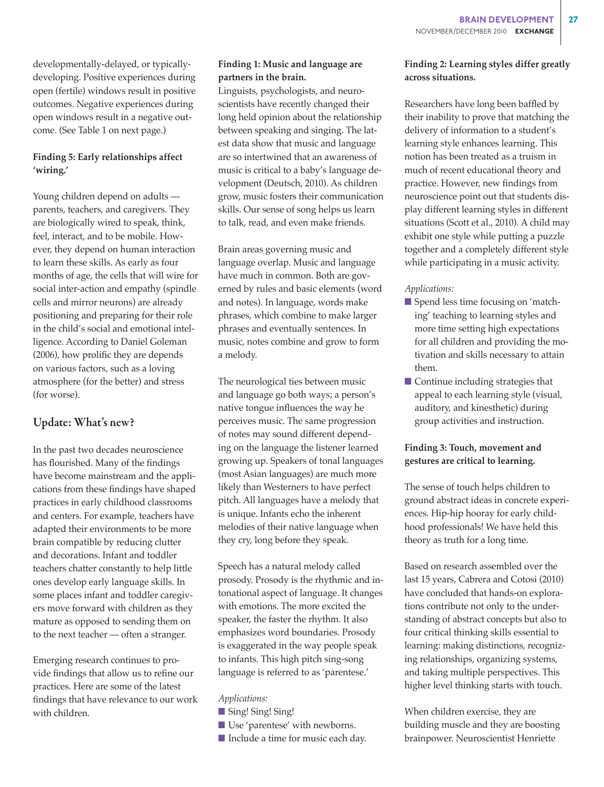developmentally-delayed, or typicallydeveloping. Positive experiences during open (fertile) windows result in positive outcomes. Negative experiences during open windows result in a negative outcome. (See Table 1 on next page.)

# **Finding 5: Early relationships affect 'wiring.'**

Young children depend on adults parents, teachers, and caregivers. They are biologically wired to speak, think, feel, interact, and to be mobile. However, they depend on human interaction to learn these skills. As early as four months of age, the cells that will wire for social inter-action and empathy (spindle cells and mirror neurons) are already positioning and preparing for their role in the child's social and emotional intelligence. According to Daniel Goleman (2006), how prolific they are depends on various factors, such as a loving atmosphere (for the better) and stress (for worse).

# Update: What's new?

In the past two decades neuroscience has flourished. Many of the findings have become mainstream and the applications from these findings have shaped practices in early childhood classrooms and centers. For example, teachers have adapted their environments to be more brain compatible by reducing clutter and decorations. Infant and toddler teachers chatter constantly to help little ones develop early language skills. In some places infant and toddler caregivers move forward with children as they mature as opposed to sending them on to the next teacher — often a stranger.

Emerging research continues to provide findings that allow us to refine our practices. Here are some of the latest findings that have relevance to our work with children.

# **Finding 1: Music and language are partners in the brain.**

Linguists, psychologists, and neuroscientists have recently changed their long held opinion about the relationship between speaking and singing. The latest data show that music and language are so intertwined that an awareness of music is critical to a baby's language development (Deutsch, 2010). As children grow, music fosters their communication skills. Our sense of song helps us learn to talk, read, and even make friends.

Brain areas governing music and language overlap. Music and language have much in common. Both are governed by rules and basic elements (word and notes). In language, words make phrases, which combine to make larger phrases and eventually sentences. In music, notes combine and grow to form a melody.

The neurological ties between music and language go both ways; a person's native tongue influences the way he perceives music. The same progression of notes may sound different depending on the language the listener learned growing up. Speakers of tonal languages (most Asian languages) are much more likely than Westerners to have perfect pitch. All languages have a melody that is unique. Infants echo the inherent melodies of their native language when they cry, long before they speak.

Speech has a natural melody called prosody. Prosody is the rhythmic and intonational aspect of language. It changes with emotions. The more excited the speaker, the faster the rhythm. It also emphasizes word boundaries. Prosody is exaggerated in the way people speak to infants. This high pitch sing-song language is referred to as 'parentese.'

#### *Applications:*

- Sing! Sing! Sing!
- Use 'parentese' with newborns.
- Include a time for music each day.

### **Finding 2: Learning styles differ greatly across situations.**

Researchers have long been baffled by their inability to prove that matching the delivery of information to a student's learning style enhances learning. This notion has been treated as a truism in much of recent educational theory and practice. However, new findings from neuroscience point out that students display different learning styles in different situations (Scott et al., 2010). A child may exhibit one style while putting a puzzle together and a completely different style while participating in a music activity.

#### *Applications:*

- Spend less time focusing on 'matching' teaching to learning styles and more time setting high expectations for all children and providing the motivation and skills necessary to attain them.
- $\blacksquare$  Continue including strategies that appeal to each learning style (visual, auditory, and kinesthetic) during group activities and instruction.

# **Finding 3: Touch, movement and gestures are critical to learning.**

The sense of touch helps children to ground abstract ideas in concrete experiences. Hip-hip hooray for early childhood professionals! We have held this theory as truth for a long time.

Based on research assembled over the last 15 years, Cabrera and Cotosi (2010) have concluded that hands-on explorations contribute not only to the understanding of abstract concepts but also to four critical thinking skills essential to learning: making distinctions, recognizing relationships, organizing systems, and taking multiple perspectives. This higher level thinking starts with touch.

When children exercise, they are building muscle and they are boosting brainpower. Neuroscientist Henriette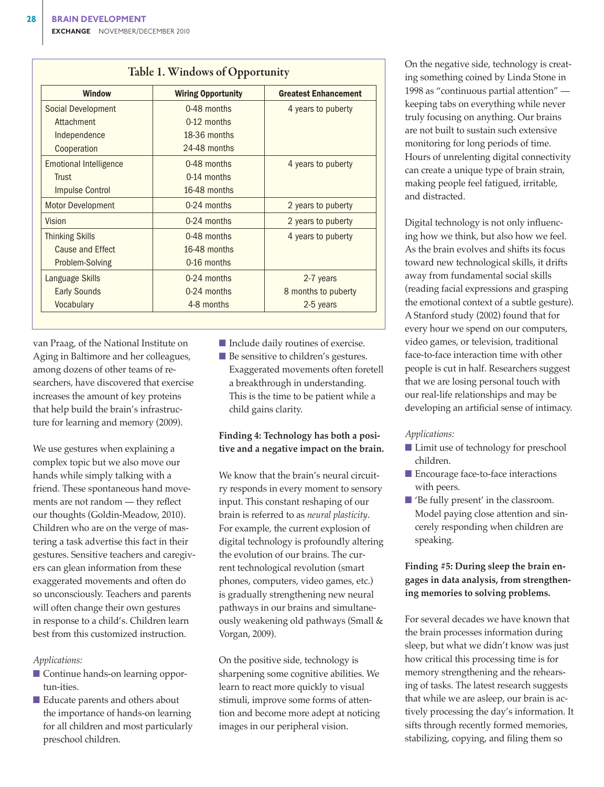| <b>Window</b>                 | <b>Wiring Opportunity</b> | <b>Greatest Enhancement</b> |
|-------------------------------|---------------------------|-----------------------------|
| Social Development            | 0-48 months               | 4 years to puberty          |
| Attachment                    | $0-12$ months             |                             |
| Independence                  | 18-36 months              |                             |
| Cooperation                   | 24-48 months              |                             |
| <b>Emotional Intelligence</b> | 0-48 months               | 4 years to puberty          |
| Trust                         | $0-14$ months             |                             |
| <b>Impulse Control</b>        | 16-48 months              |                             |
| <b>Motor Development</b>      | 0-24 months               | 2 years to puberty          |
| Vision                        | 0-24 months               | 2 years to puberty          |
| <b>Thinking Skills</b>        | 0-48 months               | 4 years to puberty          |
| Cause and Effect              | 16-48 months              |                             |
| Problem-Solving               | 0-16 months               |                             |
| Language Skills               | $0-24$ months             | 2-7 years                   |
| <b>Early Sounds</b>           | 0-24 months               | 8 months to puberty         |
| Vocabulary                    | 4-8 months                | 2-5 years                   |

van Praag, of the National Institute on Aging in Baltimore and her colleagues, among dozens of other teams of researchers, have discovered that exercise increases the amount of key proteins that help build the brain's infrastructure for learning and memory (2009).

We use gestures when explaining a complex topic but we also move our hands while simply talking with a friend. These spontaneous hand movements are not random — they reflect our thoughts (Goldin-Meadow, 2010). Children who are on the verge of mastering a task advertise this fact in their gestures. Sensitive teachers and caregivers can glean information from these exaggerated movements and often do so unconsciously. Teachers and parents will often change their own gestures in response to a child's. Children learn best from this customized instruction.

*Applications:*

- Continue hands-on learning opportun-ities.
- Educate parents and others about the importance of hands-on learning for all children and most particularly preschool children.
- Include daily routines of exercise.
- Be sensitive to children's gestures. Exaggerated movements often foretell a breakthrough in understanding. This is the time to be patient while a child gains clarity.

#### **Finding 4: Technology has both a positive and a negative impact on the brain.**

We know that the brain's neural circuitry responds in every moment to sensory input. This constant reshaping of our brain is referred to as *neural plasticity*. For example, the current explosion of digital technology is profoundly altering the evolution of our brains. The current technological revolution (smart phones, computers, video games, etc.) is gradually strengthening new neural pathways in our brains and simultaneously weakening old pathways (Small & Vorgan, 2009).

On the positive side, technology is sharpening some cognitive abilities. We learn to react more quickly to visual stimuli, improve some forms of attention and become more adept at noticing images in our peripheral vision.

On the negative side, technology is creating something coined by Linda Stone in 1998 as "continuous partial attention" keeping tabs on everything while never truly focusing on anything. Our brains are not built to sustain such extensive monitoring for long periods of time. Hours of unrelenting digital connectivity can create a unique type of brain strain, making people feel fatigued, irritable, and distracted.

Digital technology is not only influencing how we think, but also how we feel. As the brain evolves and shifts its focus toward new technological skills, it drifts away from fundamental social skills (reading facial expressions and grasping the emotional context of a subtle gesture). A Stanford study (2002) found that for every hour we spend on our computers, video games, or television, traditional face-to-face interaction time with other people is cut in half. Researchers suggest that we are losing personal touch with our real-life relationships and may be developing an artificial sense of intimacy.

#### *Applications:*

- Limit use of technology for preschool children.
- Encourage face-to-face interactions with peers.
- 'Be fully present' in the classroom. Model paying close attention and sincerely responding when children are speaking.

# **Finding #5: During sleep the brain engages in data analysis, from strengthening memories to solving problems.**

For several decades we have known that the brain processes information during sleep, but what we didn't know was just how critical this processing time is for memory strengthening and the rehearsing of tasks. The latest research suggests that while we are asleep, our brain is actively processing the day's information. It sifts through recently formed memories, stabilizing, copying, and filing them so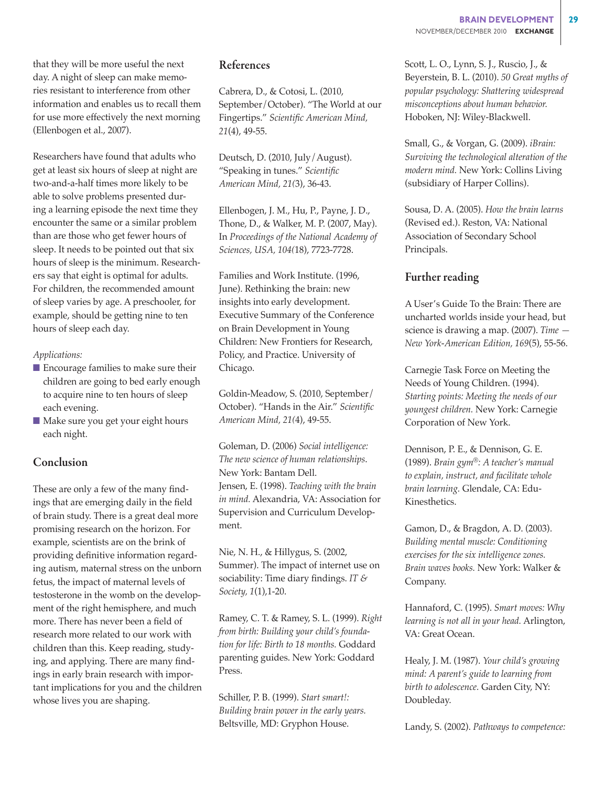that they will be more useful the next day. A night of sleep can make memories resistant to interference from other information and enables us to recall them for use more effectively the next morning (Ellenbogen et al., 2007).

Researchers have found that adults who get at least six hours of sleep at night are two-and-a-half times more likely to be able to solve problems presented during a learning episode the next time they encounter the same or a similar problem than are those who get fewer hours of sleep. It needs to be pointed out that six hours of sleep is the minimum. Researchers say that eight is optimal for adults. For children, the recommended amount of sleep varies by age. A preschooler, for example, should be getting nine to ten hours of sleep each day.

#### *Applications:*

- $\blacksquare$  Encourage families to make sure their children are going to bed early enough to acquire nine to ten hours of sleep each evening.
- n Make sure you get your eight hours each night.

# Conclusion

These are only a few of the many findings that are emerging daily in the field of brain study. There is a great deal more promising research on the horizon. For example, scientists are on the brink of providing definitive information regarding autism, maternal stress on the unborn fetus, the impact of maternal levels of testosterone in the womb on the development of the right hemisphere, and much more. There has never been a field of research more related to our work with children than this. Keep reading, studying, and applying. There are many findings in early brain research with important implications for you and the children whose lives you are shaping.

# References

Cabrera, D., & Cotosi, L. (2010, September/October). "The World at our Fingertips." *Scientific American Mind, 21*(4), 49-55.

Deutsch, D. (2010, July/August). "Speaking in tunes." *Scientific American Mind, 21(*3), 36-43.

Ellenbogen, J. M., Hu, P., Payne, J. D., Thone, D., & Walker, M. P. (2007, May). In *Proceedings of the National Academy of Sciences, USA, 104(*18), 7723-7728.

Families and Work Institute. (1996, June). Rethinking the brain: new insights into early development. Executive Summary of the Conference on Brain Development in Young Children: New Frontiers for Research, Policy, and Practice. University of Chicago.

Goldin-Meadow, S. (2010, September/ October). "Hands in the Air." *Scientific American Mind, 21(*4), 49-55.

Goleman, D. (2006) *Social intelligence: The new science of human relationships*. New York: Bantam Dell. Jensen, E. (1998). *Teaching with the brain in mind.* Alexandria, VA: Association for Supervision and Curriculum Development.

Nie, N. H., & Hillygus, S. (2002, Summer). The impact of internet use on sociability: Time diary findings. *IT & Society, 1*(1),1-20.

Ramey, C. T. & Ramey, S. L. (1999). *Right from birth: Building your child's foundation for life: Birth to 18 months.* Goddard parenting guides. New York: Goddard Press.

Schiller, P. B. (1999). *Start smart!: Building brain power in the early years.* Beltsville, MD: Gryphon House.

Scott, L. O., Lynn, S. J., Ruscio, J., & Beyerstein, B. L. (2010). *50 Great myths of popular psychology: Shattering widespread misconceptions about human behavior.* Hoboken, NJ: Wiley-Blackwell.

Small, G., & Vorgan, G. (2009). *iBrain: Surviving the technological alteration of the modern mind.* New York: Collins Living (subsidiary of Harper Collins).

Sousa, D. A. (2005). *How the brain learns*  (Revised ed.). Reston, VA: National Association of Secondary School Principals.

# Further reading

A User's Guide To the Brain: There are uncharted worlds inside your head, but science is drawing a map. (2007). *Time — New York-American Edition, 169*(5), 55-56.

Carnegie Task Force on Meeting the Needs of Young Children. (1994). *Starting points: Meeting the needs of our youngest children.* New York: Carnegie Corporation of New York.

Dennison, P. E., & Dennison, G. E. (1989). *Brain gym®: A teacher's manual to explain, instruct, and facilitate whole brain learning.* Glendale, CA: Edu-Kinesthetics.

Gamon, D., & Bragdon, A. D. (2003). *Building mental muscle: Conditioning exercises for the six intelligence zones. Brain waves books.* New York: Walker & Company.

Hannaford, C. (1995). *Smart moves: Why learning is not all in your head.* Arlington, VA: Great Ocean.

Healy, J. M. (1987). *Your child's growing mind: A parent's guide to learning from birth to adolescence.* Garden City, NY: Doubleday.

Landy, S. (2002). *Pathways to competence:*